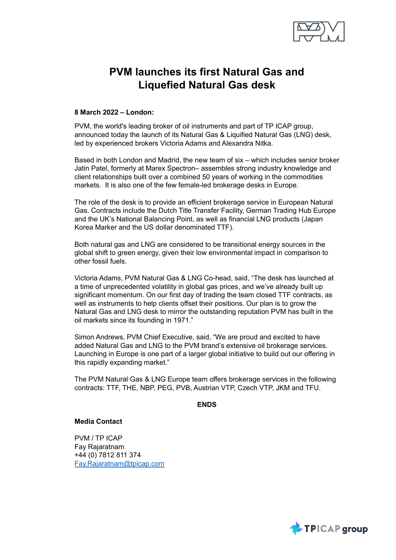

# **PVM launches its first Natural Gas and Liquefied Natural Gas desk**

# **8 March 2022 – London:**

PVM, the world's leading broker of oil instruments and part of TP ICAP group, announced today the launch of its Natural Gas & Liquified Natural Gas (LNG) desk, led by experienced brokers Victoria Adams and Alexandra Nitka.

Based in both London and Madrid, the new team of six – which includes senior broker Jatin Patel, formerly at Marex Spectron– assembles strong industry knowledge and client relationships built over a combined 50 years of working in the commodities markets. It is also one of the few female-led brokerage desks in Europe.

The role of the desk is to provide an efficient brokerage service in European Natural Gas. Contracts include the Dutch Title Transfer Facility, German Trading Hub Europe and the UK's National Balancing Point, as well as financial LNG products (Japan Korea Marker and the US dollar denominated TTF).

Both natural gas and LNG are considered to be transitional energy sources in the global shift to green energy, given their low environmental impact in comparison to other fossil fuels.

Victoria Adams, PVM Natural Gas & LNG Co-head, said, "The desk has launched at a time of unprecedented volatility in global gas prices, and we've already built up significant momentum. On our first day of trading the team closed TTF contracts, as well as instruments to help clients offset their positions. Our plan is to grow the Natural Gas and LNG desk to mirror the outstanding reputation PVM has built in the oil markets since its founding in 1971."

Simon Andrews, PVM Chief Executive, said, "We are proud and excited to have added Natural Gas and LNG to the PVM brand's extensive oil brokerage services. Launching in Europe is one part of a larger global initiative to build out our offering in this rapidly expanding market."

The PVM Natural Gas & LNG Europe team offers brokerage services in the following contracts: TTF, THE, NBP, PEG, PVB, Austrian VTP, Czech VTP, JKM and TFU.

**ENDS**

# **Media Contact**

PVM / TP ICAP Fay Rajaratnam +44 (0) 7812 811 374 [Fay.Rajaratnam@tpicap.com](mailto:Fay.Rajaratnam@tpicap.com)

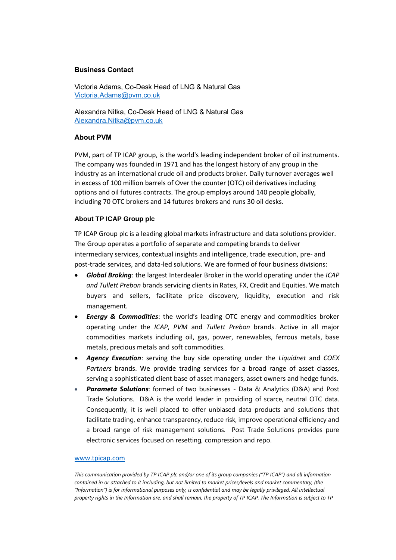### **Business Contact**

Victoria Adams, Co-Desk Head of LNG & Natural Gas [Victoria.Adams@pvm.co.uk](mailto:Victoria.Adams@pvm.co.uk)

Alexandra Nitka, Co-Desk Head of LNG & Natural Gas [Alexandra.Nitka@pvm.co.uk](mailto:Alexandra.Nitka@pvm.co.uk)

#### **About PVM**

PVM, part of TP ICAP group, is the world's leading independent broker of oil instruments. The company was founded in 1971 and has the longest history of any group in the industry as an international crude oil and products broker. Daily turnover averages well in excess of 100 million barrels of Over the counter (OTC) oil derivatives including options and oil futures contracts. The group employs around 140 people globally, including 70 OTC brokers and 14 futures brokers and runs 30 oil desks.

#### **About TP ICAP Group plc**

TP ICAP Group plc is a leading global markets infrastructure and data solutions provider. The Group operates a portfolio of separate and competing brands to deliver intermediary services, contextual insights and intelligence, trade execution, pre- and post-trade services, and data-led solutions. We are formed of four business divisions:

- *Global Broking*: the largest Interdealer Broker in the world operating under the *ICAP and Tullett Prebon* brands servicing clients in Rates, FX, Credit and Equities. We match buyers and sellers, facilitate price discovery, liquidity, execution and risk management*.*
- *Energy & Commodities*: the world's leading OTC energy and commodities broker operating under the *ICAP*, *PVM* and *Tullett Prebon* brands. Active in all major commodities markets including oil, gas, power, renewables, ferrous metals, base metals, precious metals and soft commodities.
- *Agency Execution*: serving the buy side operating under the *Liquidnet* and *COEX Partners* brands. We provide trading services for a broad range of asset classes, serving a sophisticated client base of asset managers, asset owners and hedge funds.
- *Parameta Solutions*: formed of two businesses Data & Analytics (D&A) and Post Trade Solutions. D&A is the world leader in providing of scarce, neutral OTC data. Consequently, it is well placed to offer unbiased data products and solutions that facilitate trading, enhance transparency, reduce risk, improve operational efficiency and a broad range of risk management solutions. Post Trade Solutions provides pure electronic services focused on resetting, compression and repo.

#### [www.tpicap.com](http://www.tpicap.com/)

*This communication provided by TP ICAP plc and/or one of its group companies ("TP ICAP") and all information contained in or attached to it including, but not limited to market prices/levels and market commentary, (the "Information") is for informational purposes only, is confidential and may be legally privileged. All intellectual property rights in the Information are, and shall remain, the property of TP ICAP. The Information is subject to TP*